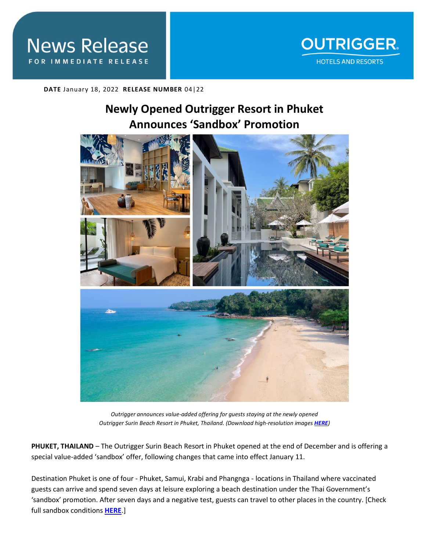

**DATE** January 18, 2022 **RELEASE NUMBER** 04|22

# **Newly Opened Outrigger Resort in Phuket Announces 'Sandbox' Promotion**



*Outrigger announces value-added offering for guests staying at the newly opened Outrigger Surin Beach Resort in Phuket, Thailand. (Download high-resolution images [HERE](https://app.box.com/folder/154240429450))*

**PHUKET, THAILAND** – The Outrigger Surin Beach Resort in Phuket opened at the end of December and is offering a special value-added 'sandbox' offer, following changes that came into effect January 11.

Destination Phuket is one of four - Phuket, Samui, Krabi and Phangnga - locations in Thailand where vaccinated guests can arrive and spend seven days at leisure exploring a beach destination under the Thai Government's 'sandbox' promotion. After seven days and a negative test, guests can travel to other places in the country. [Check full sandbox conditions **[HERE](https://hague.thaiembassy.org/th/content/sandbox-scheme)**.]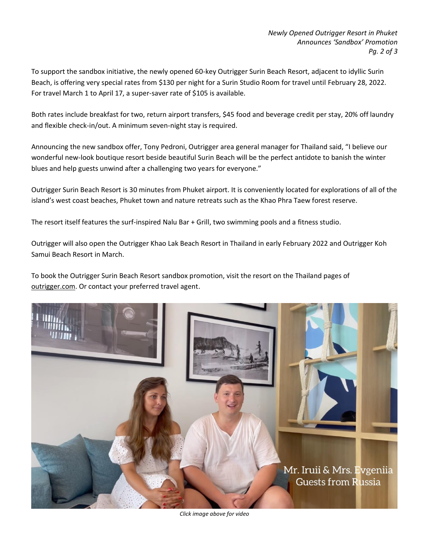To support the sandbox initiative, the newly opened 60-key Outrigger Surin Beach Resort, adjacent to idyllic Surin Beach, is offering very special rates from \$130 per night for a Surin Studio Room for travel until February 28, 2022. For travel March 1 to April 17, a super-saver rate of \$105 is available.

Both rates include breakfast for two, return airport transfers, \$45 food and beverage credit per stay, 20% off laundry and flexible check-in/out. A minimum seven-night stay is required.

Announcing the new sandbox offer, Tony Pedroni, Outrigger area general manager for Thailand said, "I believe our wonderful new-look boutique resort beside beautiful Surin Beach will be the perfect antidote to banish the winter blues and help guests unwind after a challenging two years for everyone."

Outrigger Surin Beach Resort is 30 minutes from Phuket airport. It is conveniently located for explorations of all of the island's west coast beaches, Phuket town and nature retreats such as the Khao Phra Taew forest reserve.

The resort itself features the surf-inspired Nalu Bar + Grill, two swimming pools and a fitness studio.

Outrigger will also open the Outrigger Khao Lak Beach Resort in Thailand in early February 2022 and Outrigger Koh Samui Beach Resort in March.

To book the Outrigger Surin Beach Resort sandbox promotion, visit the resort on the Thailand pages of [outrigger.com.](http://outrigger.com/) Or contact your preferred travel agent.



*Click image above for video*